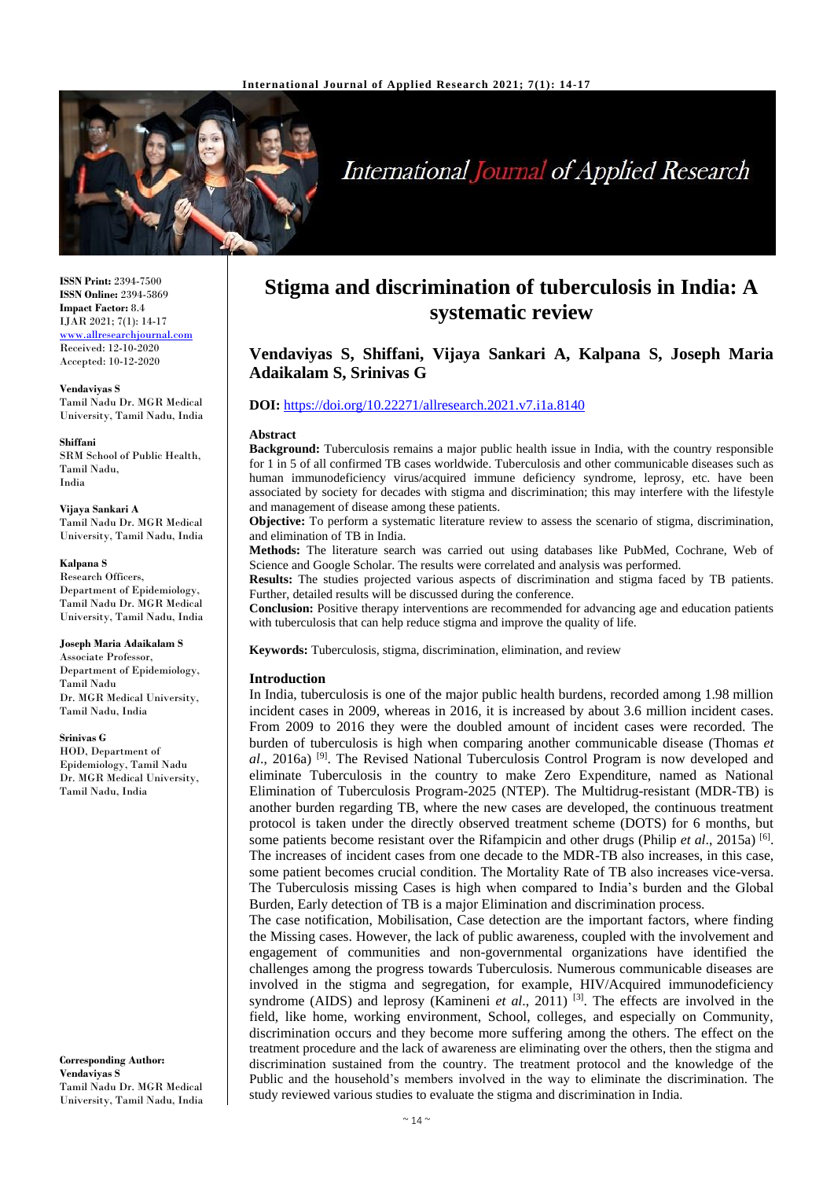

# **International Journal of Applied Research**

**ISSN Print:** 2394-7500 **ISSN Online:** 2394-5869 **Impact Factor:** 8.4 IJAR 2021; 7(1): 14-17 <www.allresearchjournal.com> Received: 12-10-2020 Accepted: 10-12-2020

**Vendaviyas S** Tamil Nadu Dr. MGR Medical University, Tamil Nadu, India

**Shiffani** SRM School of Public Health, Tamil Nadu, India

**Vijaya Sankari A** Tamil Nadu Dr. MGR Medical University, Tamil Nadu, India

#### **Kalpana S**

Research Officers, Department of Epidemiology, Tamil Nadu Dr. MGR Medical University, Tamil Nadu, India

**Joseph Maria Adaikalam S**

Associate Professor, Department of Epidemiology, Tamil Nadu Dr. MGR Medical University, Tamil Nadu, India

**Srinivas G**

HOD, Department of Epidemiology, Tamil Nadu Dr. MGR Medical University, Tamil Nadu, India

**Corresponding Author: Vendaviyas S** Tamil Nadu Dr. MGR Medical University, Tamil Nadu, India

# **Stigma and discrimination of tuberculosis in India: A systematic review**

# **Vendaviyas S, Shiffani, Vijaya Sankari A, Kalpana S, Joseph Maria Adaikalam S, Srinivas G**

#### **DOI:** <https://doi.org/10.22271/allresearch.2021.v7.i1a.8140>

#### **Abstract**

**Background:** Tuberculosis remains a major public health issue in India, with the country responsible for 1 in 5 of all confirmed TB cases worldwide. Tuberculosis and other communicable diseases such as human immunodeficiency virus/acquired immune deficiency syndrome, leprosy, etc. have been associated by society for decades with stigma and discrimination; this may interfere with the lifestyle and management of disease among these patients.

**Objective:** To perform a systematic literature review to assess the scenario of stigma, discrimination, and elimination of TB in India.

**Methods:** The literature search was carried out using databases like PubMed, Cochrane, Web of Science and Google Scholar. The results were correlated and analysis was performed.

**Results:** The studies projected various aspects of discrimination and stigma faced by TB patients. Further, detailed results will be discussed during the conference.

**Conclusion:** Positive therapy interventions are recommended for advancing age and education patients with tuberculosis that can help reduce stigma and improve the quality of life.

**Keywords:** Tuberculosis, stigma, discrimination, elimination, and review

#### **Introduction**

In India, tuberculosis is one of the major public health burdens, recorded among 1.98 million incident cases in 2009, whereas in 2016, it is increased by about 3.6 million incident cases. From 2009 to 2016 they were the doubled amount of incident cases were recorded. The burden of tuberculosis is high when comparing another communicable disease (Thomas *et al*., 2016a) [9]. The Revised National Tuberculosis Control Program is now developed and eliminate Tuberculosis in the country to make Zero Expenditure, named as National Elimination of Tuberculosis Program-2025 (NTEP). The Multidrug-resistant (MDR-TB) is another burden regarding TB, where the new cases are developed, the continuous treatment protocol is taken under the directly observed treatment scheme (DOTS) for 6 months, but some patients become resistant over the Rifampicin and other drugs (Philip *et al.*, 2015a)<sup>[6]</sup>. The increases of incident cases from one decade to the MDR-TB also increases, in this case, some patient becomes crucial condition. The Mortality Rate of TB also increases vice-versa. The Tuberculosis missing Cases is high when compared to India's burden and the Global Burden, Early detection of TB is a major Elimination and discrimination process.

The case notification, Mobilisation, Case detection are the important factors, where finding the Missing cases. However, the lack of public awareness, coupled with the involvement and engagement of communities and non-governmental organizations have identified the challenges among the progress towards Tuberculosis. Numerous communicable diseases are involved in the stigma and segregation, for example, HIV/Acquired immunodeficiency syndrome (AIDS) and leprosy (Kamineni *et al.*, 2011)<sup>[3]</sup>. The effects are involved in the field, like home, working environment, School, colleges, and especially on Community, discrimination occurs and they become more suffering among the others. The effect on the treatment procedure and the lack of awareness are eliminating over the others, then the stigma and discrimination sustained from the country. The treatment protocol and the knowledge of the Public and the household's members involved in the way to eliminate the discrimination. The study reviewed various studies to evaluate the stigma and discrimination in India.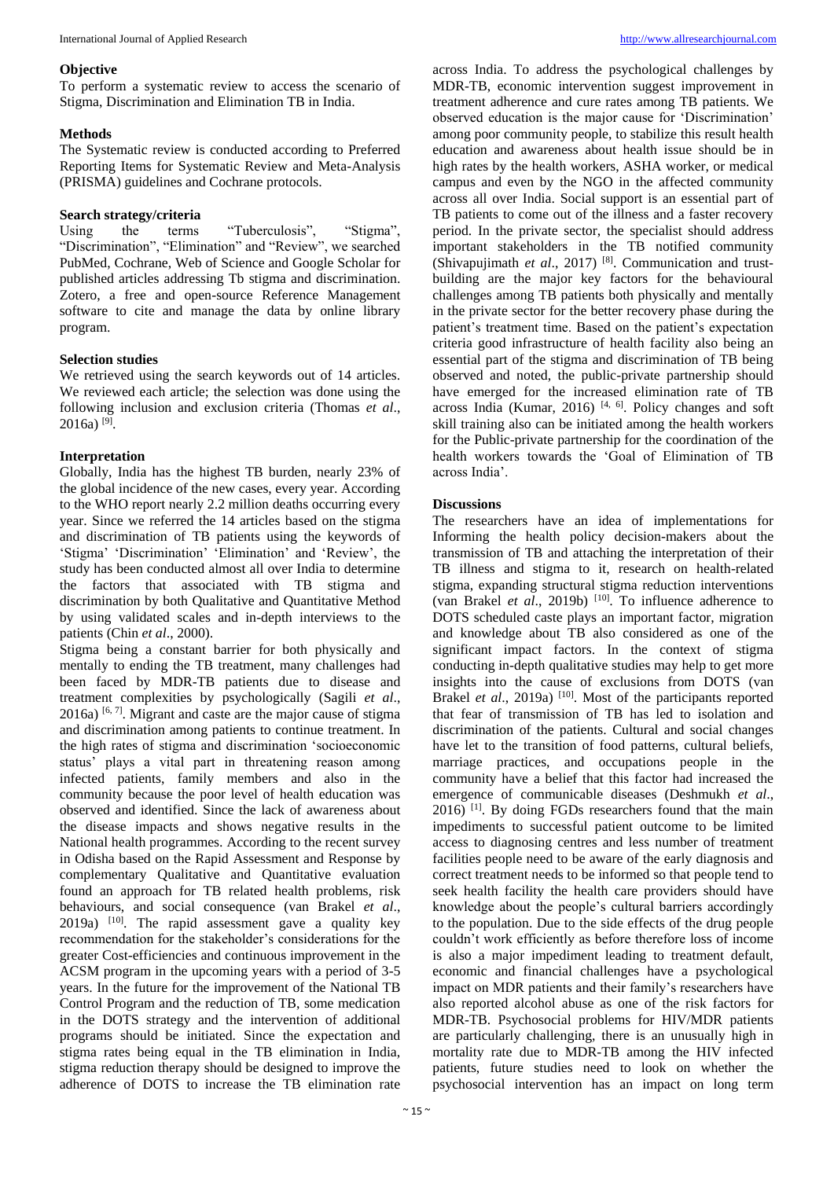#### **Objective**

To perform a systematic review to access the scenario of Stigma, Discrimination and Elimination TB in India.

# **Methods**

The Systematic review is conducted according to Preferred Reporting Items for Systematic Review and Meta-Analysis (PRISMA) guidelines and Cochrane protocols.

### **Search strategy/criteria**

Using the terms "Tuberculosis", "Stigma", "Discrimination", "Elimination" and "Review", we searched PubMed, Cochrane, Web of Science and Google Scholar for published articles addressing Tb stigma and discrimination. Zotero, a free and open-source Reference Management software to cite and manage the data by online library program.

# **Selection studies**

We retrieved using the search keywords out of 14 articles. We reviewed each article; the selection was done using the following inclusion and exclusion criteria (Thomas *et al*.,  $2016a$ )<sup>[9]</sup>.

# **Interpretation**

Globally, India has the highest TB burden, nearly 23% of the global incidence of the new cases, every year. According to the WHO report nearly 2.2 million deaths occurring every year. Since we referred the 14 articles based on the stigma and discrimination of TB patients using the keywords of 'Stigma' 'Discrimination' 'Elimination' and 'Review', the study has been conducted almost all over India to determine the factors that associated with TB stigma and discrimination by both Qualitative and Quantitative Method by using validated scales and in-depth interviews to the patients (Chin *et al*., 2000).

Stigma being a constant barrier for both physically and mentally to ending the TB treatment, many challenges had been faced by MDR-TB patients due to disease and treatment complexities by psychologically (Sagili *et al*.,  $2016a$ ) [6, 7]. Migrant and caste are the major cause of stigma and discrimination among patients to continue treatment. In the high rates of stigma and discrimination 'socioeconomic status' plays a vital part in threatening reason among infected patients, family members and also in the community because the poor level of health education was observed and identified. Since the lack of awareness about the disease impacts and shows negative results in the National health programmes. According to the recent survey in Odisha based on the Rapid Assessment and Response by complementary Qualitative and Quantitative evaluation found an approach for TB related health problems, risk behaviours, and social consequence (van Brakel *et al*., 2019a)  $[10]$ . The rapid assessment gave a quality key recommendation for the stakeholder's considerations for the greater Cost-efficiencies and continuous improvement in the ACSM program in the upcoming years with a period of 3-5 years. In the future for the improvement of the National TB Control Program and the reduction of TB, some medication in the DOTS strategy and the intervention of additional programs should be initiated. Since the expectation and stigma rates being equal in the TB elimination in India, stigma reduction therapy should be designed to improve the adherence of DOTS to increase the TB elimination rate

across India. To address the psychological challenges by MDR-TB, economic intervention suggest improvement in treatment adherence and cure rates among TB patients. We observed education is the major cause for 'Discrimination' among poor community people, to stabilize this result health education and awareness about health issue should be in high rates by the health workers, ASHA worker, or medical campus and even by the NGO in the affected community across all over India. Social support is an essential part of TB patients to come out of the illness and a faster recovery period. In the private sector, the specialist should address important stakeholders in the TB notified community (Shivapujimath *et al*., 2017) [8]. Communication and trustbuilding are the major key factors for the behavioural challenges among TB patients both physically and mentally in the private sector for the better recovery phase during the patient's treatment time. Based on the patient's expectation criteria good infrastructure of health facility also being an essential part of the stigma and discrimination of TB being observed and noted, the public-private partnership should have emerged for the increased elimination rate of TB across India (Kumar, 2016)<sup>[4, 6]</sup>. Policy changes and soft skill training also can be initiated among the health workers for the Public-private partnership for the coordination of the health workers towards the 'Goal of Elimination of TB across India'.

# **Discussions**

The researchers have an idea of implementations for Informing the health policy decision-makers about the transmission of TB and attaching the interpretation of their TB illness and stigma to it, research on health-related stigma, expanding structural stigma reduction interventions (van Brakel *et al.*, 2019b)  $[10]$ . To influence adherence to DOTS scheduled caste plays an important factor, migration and knowledge about TB also considered as one of the significant impact factors. In the context of stigma conducting in-depth qualitative studies may help to get more insights into the cause of exclusions from DOTS (van Brakel *et al.*, 2019a)<sup>[10]</sup>. Most of the participants reported that fear of transmission of TB has led to isolation and discrimination of the patients. Cultural and social changes have let to the transition of food patterns, cultural beliefs, marriage practices, and occupations people in the community have a belief that this factor had increased the emergence of communicable diseases (Deshmukh *et al*.,  $2016$ <sup>[1]</sup>. By doing FGDs researchers found that the main impediments to successful patient outcome to be limited access to diagnosing centres and less number of treatment facilities people need to be aware of the early diagnosis and correct treatment needs to be informed so that people tend to seek health facility the health care providers should have knowledge about the people's cultural barriers accordingly to the population. Due to the side effects of the drug people couldn't work efficiently as before therefore loss of income is also a major impediment leading to treatment default, economic and financial challenges have a psychological impact on MDR patients and their family's researchers have also reported alcohol abuse as one of the risk factors for MDR-TB. Psychosocial problems for HIV/MDR patients are particularly challenging, there is an unusually high in mortality rate due to MDR-TB among the HIV infected patients, future studies need to look on whether the psychosocial intervention has an impact on long term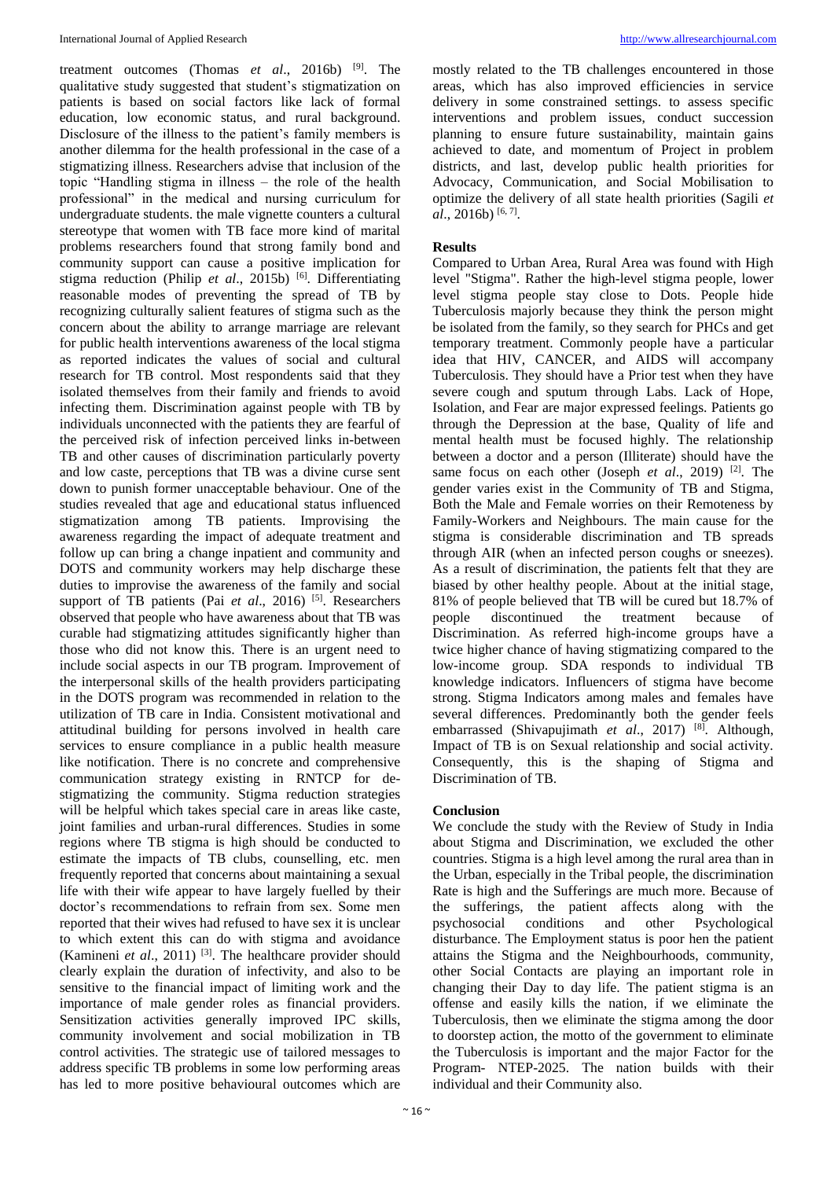treatment outcomes (Thomas *et al*., 2016b) [9]. The qualitative study suggested that student's stigmatization on patients is based on social factors like lack of formal education, low economic status, and rural background. Disclosure of the illness to the patient's family members is another dilemma for the health professional in the case of a stigmatizing illness. Researchers advise that inclusion of the topic "Handling stigma in illness – the role of the health professional" in the medical and nursing curriculum for undergraduate students. the male vignette counters a cultural stereotype that women with TB face more kind of marital problems researchers found that strong family bond and community support can cause a positive implication for stigma reduction (Philip *et al*., 2015b) [6]. Differentiating reasonable modes of preventing the spread of TB by recognizing culturally salient features of stigma such as the concern about the ability to arrange marriage are relevant for public health interventions awareness of the local stigma as reported indicates the values of social and cultural research for TB control. Most respondents said that they isolated themselves from their family and friends to avoid infecting them. Discrimination against people with TB by individuals unconnected with the patients they are fearful of the perceived risk of infection perceived links in-between TB and other causes of discrimination particularly poverty and low caste, perceptions that TB was a divine curse sent down to punish former unacceptable behaviour. One of the studies revealed that age and educational status influenced stigmatization among TB patients. Improvising the awareness regarding the impact of adequate treatment and follow up can bring a change inpatient and community and DOTS and community workers may help discharge these duties to improvise the awareness of the family and social support of TB patients (Pai *et al.*, 2016) <sup>[5]</sup>. Researchers observed that people who have awareness about that TB was curable had stigmatizing attitudes significantly higher than those who did not know this. There is an urgent need to include social aspects in our TB program. Improvement of the interpersonal skills of the health providers participating in the DOTS program was recommended in relation to the utilization of TB care in India. Consistent motivational and attitudinal building for persons involved in health care services to ensure compliance in a public health measure like notification. There is no concrete and comprehensive communication strategy existing in RNTCP for destigmatizing the community. Stigma reduction strategies will be helpful which takes special care in areas like caste. joint families and urban-rural differences. Studies in some regions where TB stigma is high should be conducted to estimate the impacts of TB clubs, counselling, etc. men frequently reported that concerns about maintaining a sexual life with their wife appear to have largely fuelled by their doctor's recommendations to refrain from sex. Some men reported that their wives had refused to have sex it is unclear to which extent this can do with stigma and avoidance (Kamineni *et al*., 2011) [3]. The healthcare provider should clearly explain the duration of infectivity, and also to be sensitive to the financial impact of limiting work and the importance of male gender roles as financial providers. Sensitization activities generally improved IPC skills, community involvement and social mobilization in TB control activities. The strategic use of tailored messages to address specific TB problems in some low performing areas has led to more positive behavioural outcomes which are

mostly related to the TB challenges encountered in those areas, which has also improved efficiencies in service delivery in some constrained settings. to assess specific interventions and problem issues, conduct succession planning to ensure future sustainability, maintain gains achieved to date, and momentum of Project in problem districts, and last, develop public health priorities for Advocacy, Communication, and Social Mobilisation to optimize the delivery of all state health priorities (Sagili *et*  al., 2016b)<sup>[6,7]</sup>.

#### **Results**

Compared to Urban Area, Rural Area was found with High level "Stigma". Rather the high-level stigma people, lower level stigma people stay close to Dots. People hide Tuberculosis majorly because they think the person might be isolated from the family, so they search for PHCs and get temporary treatment. Commonly people have a particular idea that HIV, CANCER, and AIDS will accompany Tuberculosis. They should have a Prior test when they have severe cough and sputum through Labs. Lack of Hope, Isolation, and Fear are major expressed feelings. Patients go through the Depression at the base, Quality of life and mental health must be focused highly. The relationship between a doctor and a person (Illiterate) should have the same focus on each other (Joseph *et al.*, 2019) <sup>[2]</sup>. The gender varies exist in the Community of TB and Stigma, Both the Male and Female worries on their Remoteness by Family-Workers and Neighbours. The main cause for the stigma is considerable discrimination and TB spreads through AIR (when an infected person coughs or sneezes). As a result of discrimination, the patients felt that they are biased by other healthy people. About at the initial stage, 81% of people believed that TB will be cured but 18.7% of people discontinued the treatment because of Discrimination. As referred high-income groups have a twice higher chance of having stigmatizing compared to the low-income group. SDA responds to individual TB knowledge indicators. Influencers of stigma have become strong. Stigma Indicators among males and females have several differences. Predominantly both the gender feels embarrassed (Shivapujimath *et al*., 2017) [8]. Although, Impact of TB is on Sexual relationship and social activity. Consequently, this is the shaping of Stigma and Discrimination of TB.

#### **Conclusion**

We conclude the study with the Review of Study in India about Stigma and Discrimination, we excluded the other countries. Stigma is a high level among the rural area than in the Urban, especially in the Tribal people, the discrimination Rate is high and the Sufferings are much more. Because of the sufferings, the patient affects along with the psychosocial conditions and other Psychological disturbance. The Employment status is poor hen the patient attains the Stigma and the Neighbourhoods, community, other Social Contacts are playing an important role in changing their Day to day life. The patient stigma is an offense and easily kills the nation, if we eliminate the Tuberculosis, then we eliminate the stigma among the door to doorstep action, the motto of the government to eliminate the Tuberculosis is important and the major Factor for the Program- NTEP-2025. The nation builds with their individual and their Community also.